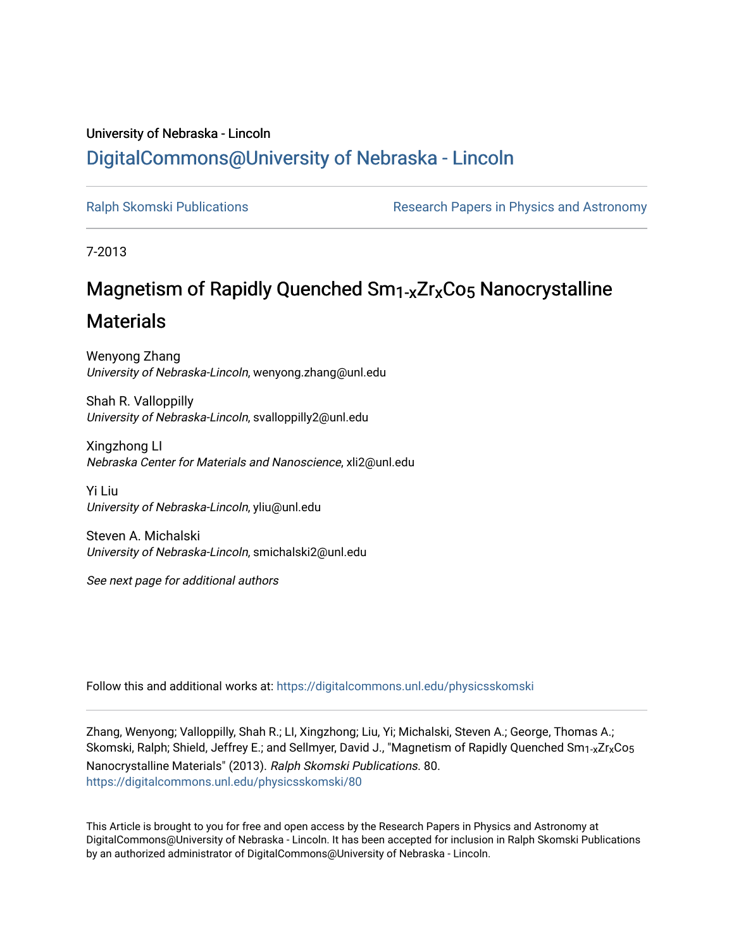## University of Nebraska - Lincoln [DigitalCommons@University of Nebraska - Lincoln](https://digitalcommons.unl.edu/)

[Ralph Skomski Publications](https://digitalcommons.unl.edu/physicsskomski) The Research Papers in Physics and Astronomy

7-2013

# Magnetism of Rapidly Quenched Sm<sub>1-x</sub>Zr<sub>x</sub>Co<sub>5</sub> Nanocrystalline

## **Materials**

Wenyong Zhang University of Nebraska-Lincoln, wenyong.zhang@unl.edu

Shah R. Valloppilly University of Nebraska-Lincoln, svalloppilly2@unl.edu

Xingzhong LI Nebraska Center for Materials and Nanoscience, xli2@unl.edu

Yi Liu University of Nebraska-Lincoln, yliu@unl.edu

Steven A. Michalski University of Nebraska-Lincoln, smichalski2@unl.edu

See next page for additional authors

Follow this and additional works at: [https://digitalcommons.unl.edu/physicsskomski](https://digitalcommons.unl.edu/physicsskomski?utm_source=digitalcommons.unl.edu%2Fphysicsskomski%2F80&utm_medium=PDF&utm_campaign=PDFCoverPages) 

Zhang, Wenyong; Valloppilly, Shah R.; LI, Xingzhong; Liu, Yi; Michalski, Steven A.; George, Thomas A.; Skomski, Ralph; Shield, Jeffrey E.; and Sellmyer, David J., "Magnetism of Rapidly Quenched Sm<sub>1-x</sub>Zr<sub>x</sub>Co<sub>5</sub> Nanocrystalline Materials" (2013). Ralph Skomski Publications. 80. [https://digitalcommons.unl.edu/physicsskomski/80](https://digitalcommons.unl.edu/physicsskomski/80?utm_source=digitalcommons.unl.edu%2Fphysicsskomski%2F80&utm_medium=PDF&utm_campaign=PDFCoverPages)

This Article is brought to you for free and open access by the Research Papers in Physics and Astronomy at DigitalCommons@University of Nebraska - Lincoln. It has been accepted for inclusion in Ralph Skomski Publications by an authorized administrator of DigitalCommons@University of Nebraska - Lincoln.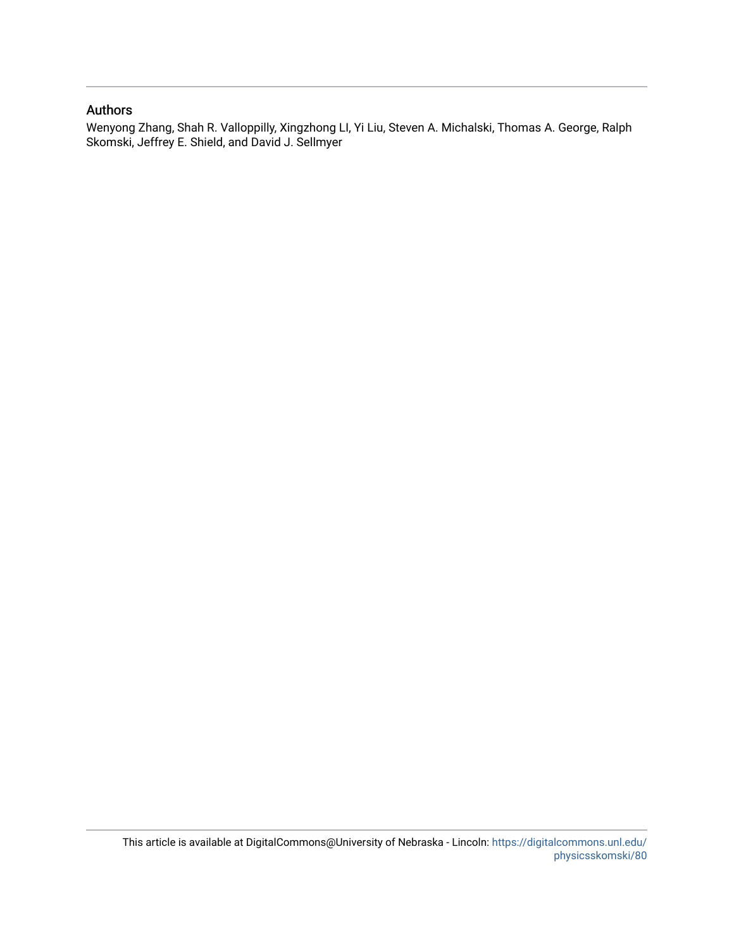### Authors

Wenyong Zhang, Shah R. Valloppilly, Xingzhong LI, Yi Liu, Steven A. Michalski, Thomas A. George, Ralph Skomski, Jeffrey E. Shield, and David J. Sellmyer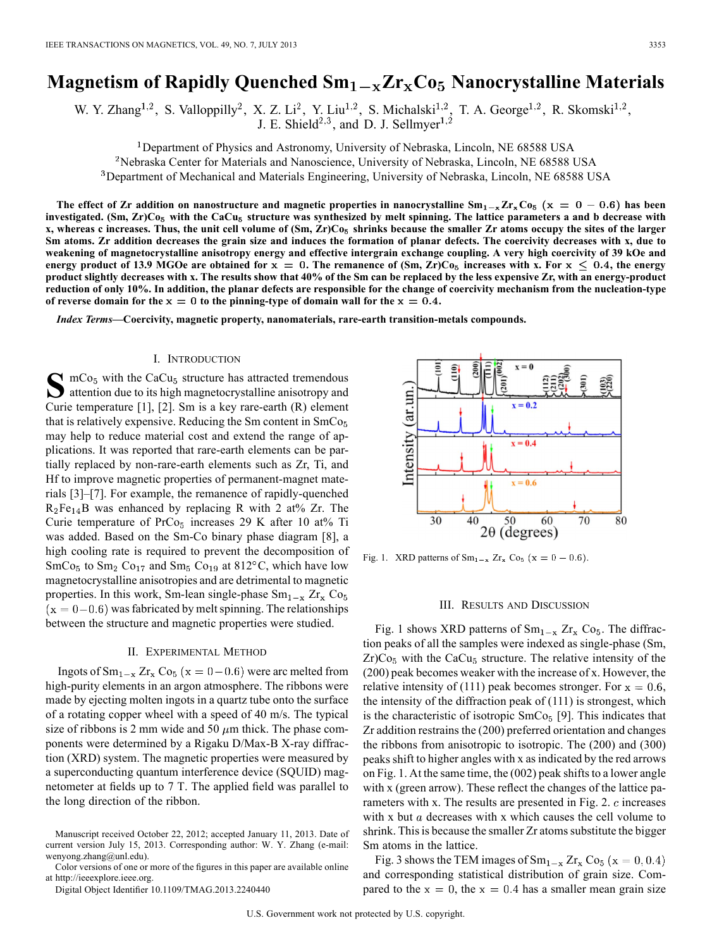### **Magnetism of Rapidly Quenched**  $Sm_1 = xZr_xCo_5$  **Nanocrystalline Materials**

W. Y. Zhang<sup>1,2</sup>, S. Valloppilly<sup>2</sup>, X. Z. Li<sup>2</sup>, Y. Liu<sup>1,2</sup>, S. Michalski<sup>1,2</sup>, T. A. George<sup>1,2</sup>, R. Skomski<sup>1,2</sup>, J. E. Shield<sup>2,3</sup>, and D. J. Sellmyer<sup>1,2</sup>

<sup>1</sup>Department of Physics and Astronomy, University of Nebraska, Lincoln, NE 68588 USA

<sup>2</sup>Nebraska Center for Materials and Nanoscience, University of Nebraska, Lincoln, NE 68588 USA

<sup>3</sup>Department of Mechanical and Materials Engineering, University of Nebraska, Lincoln, NE 68588 USA

The effect of Zr addition on nanostructure and magnetic properties in nanocrystalline  $Sm_{1-x}Zr_xCo_5$  ( $x = 0 - 0.6$ ) has been investigated. (Sm, Zr)Co<sub>5</sub> with the CaCu<sub>5</sub> structure was synthesized by melt spinning. The lattice parameters a and b decrease with **x, whereas c increases. Thus, the unit cell volume of (Sm, Zr)Co shrinks because the smaller Zr atoms occupy the sites of the larger Sm atoms. Zr addition decreases the grain size and induces the formation of planar defects. The coercivity decreases with x, due to weakening of magnetocrystalline anisotropy energy and effective intergrain exchange coupling. A very high coercivity of 39 kOe and energy product of 13.9 MGOe are obtained for**  $x = 0$ **. The remanence of (Sm, Zr)Co<sub>5</sub> increases with x. For**  $x \le 0.4$ **, the energy product slightly decreases with x. The results show that 40% of the Sm can be replaced by the less expensive Zr, with an energy-product reduction of only 10%. In addition, the planar defects are responsible for the change of coercivity mechanism from the nucleation-type** of reverse domain for the  $x = 0$  to the pinning-type of domain wall for the  $x = 0.4$ .

*Index Terms—***Coercivity, magnetic property, nanomaterials, rare-earth transition-metals compounds.**

#### I. INTRODUCTION

 $\sum$  mCo<sub>5</sub> with the CaCu<sub>5</sub> structure has attracted tremendous attention due to its high magnetocrystalline anisotropy and Curie temperature [1], [2]. Sm is a key rare-earth (R) element that is relatively expensive. Reducing the Sm content in SmCo may help to reduce material cost and extend the range of applications. It was reported that rare-earth elements can be partially replaced by non-rare-earth elements such as Zr, Ti, and Hf to improve magnetic properties of permanent-magnet materials [3]–[7]. For example, the remanence of rapidly-quenched  $R_2Fe_{14}B$  was enhanced by replacing R with 2 at% Zr. The Curie temperature of  $PrCo<sub>5</sub>$  increases 29 K after 10 at% Ti was added. Based on the Sm-Co binary phase diagram [8], a high cooling rate is required to prevent the decomposition of  $SmCo<sub>5</sub>$  to  $Sm<sub>2</sub> Co<sub>17</sub>$  and  $Sm<sub>5</sub> Co<sub>19</sub>$  at 812°C, which have low magnetocrystalline anisotropies and are detrimental to magnetic properties. In this work, Sm-lean single-phase  $Sm_{1-x} Zr_{x} Co_{5}$  $(x = 0-0.6)$  was fabricated by melt spinning. The relationships between the structure and magnetic properties were studied.

#### II. EXPERIMENTAL METHOD

Ingots of  $Sm_{1-x} Zr_x Co_5 (x = 0-0.6)$  were arc melted from high-purity elements in an argon atmosphere. The ribbons were made by ejecting molten ingots in a quartz tube onto the surface of a rotating copper wheel with a speed of 40 m/s. The typical size of ribbons is 2 mm wide and 50  $\mu$ m thick. The phase components were determined by a Rigaku D/Max-B X-ray diffraction (XRD) system. The magnetic properties were measured by a superconducting quantum interference device (SQUID) magnetometer at fields up to 7 T. The applied field was parallel to the long direction of the ribbon.

Manuscript received October 22, 2012; accepted January 11, 2013. Date of current version July 15, 2013. Corresponding author: W. Y. Zhang (e-mail: wenyong.zhang@unl.edu).

Color versions of one or more of the figures in this paper are available online at http://ieeexplore.ieee.org.

Digital Object Identifier 10.1109/TMAG.2013.2240440



Fig. 1. XRD patterns of  $Sm_{1-x} Zr_x Co_5 (x = 0 - 0.6)$ .

#### III. RESULTS AND DISCUSSION

Fig. 1 shows XRD patterns of  $Sm_{1-x} Zr_x Co_5$ . The diffraction peaks of all the samples were indexed as single-phase (Sm,  $Zr)Co<sub>5</sub>$  with the CaCu<sub>5</sub> structure. The relative intensity of the (200) peak becomes weaker with the increase of x. However, the relative intensity of (111) peak becomes stronger. For  $x = 0.6$ , the intensity of the diffraction peak of (111) is strongest, which is the characteristic of isotropic  $SmCo<sub>5</sub>$  [9]. This indicates that Zr addition restrains the (200) preferred orientation and changes the ribbons from anisotropic to isotropic. The (200) and (300) peaks shift to higher angles with x as indicated by the red arrows on Fig. 1. At the same time, the (002) peak shifts to a lower angle with x (green arrow). These reflect the changes of the lattice parameters with x. The results are presented in Fig. 2.  $c$  increases with x but  $\alpha$  decreases with x which causes the cell volume to shrink. This is because the smaller Zr atoms substitute the bigger Sm atoms in the lattice.

Fig. 3 shows the TEM images of  $Sm_{1-x} Zr_x Co_5 (x = 0, 0.4)$ and corresponding statistical distribution of grain size. Compared to the  $x = 0$ , the  $x = 0.4$  has a smaller mean grain size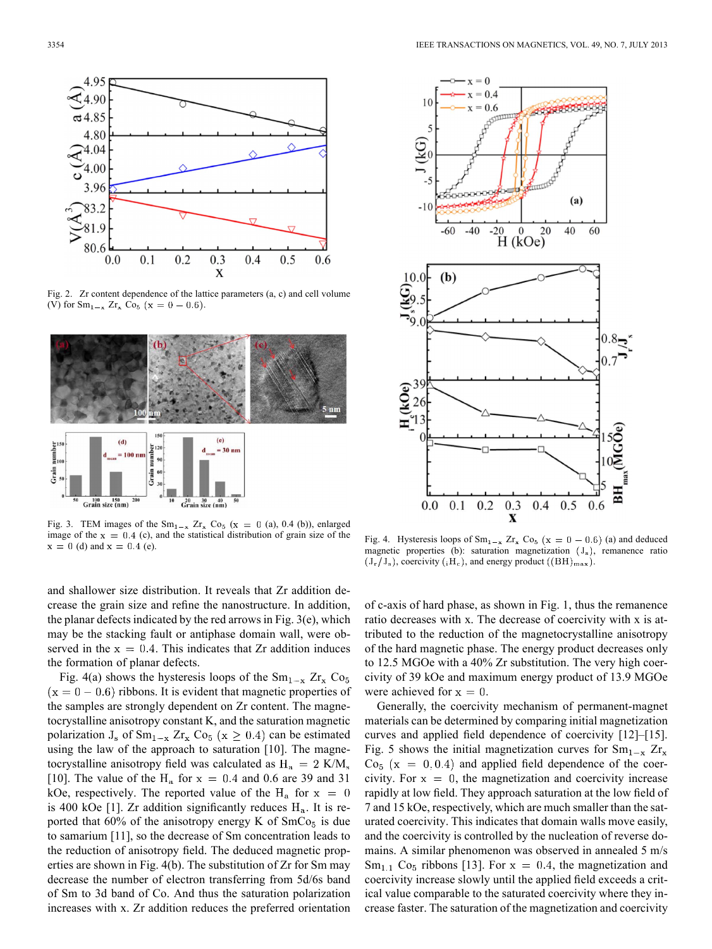

Fig. 2. Zr content dependence of the lattice parameters (a, c) and cell volume (V) for  $Sm_{1-x} Zr_x Co_5$  (x = 0 - 0.6).



Fig. 3. TEM images of the  $Sm_{1-x} Zr_x Co_5$  (x = 0 (a), 0.4 (b)), enlarged image of the  $x = 0.4$  (c), and the statistical distribution of grain size of the  $x = 0$  (d) and  $x = 0.4$  (e).

and shallower size distribution. It reveals that Zr addition decrease the grain size and refine the nanostructure. In addition, the planar defects indicated by the red arrows in Fig. 3(e), which may be the stacking fault or antiphase domain wall, were observed in the  $x = 0.4$ . This indicates that Zr addition induces the formation of planar defects.

Fig. 4(a) shows the hysteresis loops of the  $Sm_{1-x} Zr_x Co_5$  $(x = 0 - 0.6)$  ribbons. It is evident that magnetic properties of the samples are strongly dependent on Zr content. The magnetocrystalline anisotropy constant K, and the saturation magnetic polarization  $J_s$  of  $Sm_{1-x} Zr_x Co_5 (x \ge 0.4)$  can be estimated using the law of the approach to saturation [10]. The magnetocrystalline anisotropy field was calculated as  $H_a = 2$  K/M<sub>s</sub> [10]. The value of the  $H_a$  for  $x = 0.4$  and 0.6 are 39 and 31 kOe, respectively. The reported value of the  $H_a$  for  $x = 0$ is 400 kOe [1]. Zr addition significantly reduces  $H_a$ . It is reported that  $60\%$  of the anisotropy energy K of  $SmCo<sub>5</sub>$  is due to samarium [11], so the decrease of Sm concentration leads to the reduction of anisotropy field. The deduced magnetic properties are shown in Fig. 4(b). The substitution of Zr for Sm may decrease the number of electron transferring from 5d/6s band of Sm to 3d band of Co. And thus the saturation polarization increases with x. Zr addition reduces the preferred orientation



Fig. 4. Hysteresis loops of  $Sm_{1-x} Zr_x Co_5 (x = 0 - 0.6)$  (a) and deduced magnetic properties (b): saturation magnetization  $(J_s)$ , remanence ratio  $(J_r/J_s)$ , coercivity  $({}_iH_c)$ , and energy product  $((BH)_{max})$ .

of c-axis of hard phase, as shown in Fig. 1, thus the remanence ratio decreases with x. The decrease of coercivity with x is attributed to the reduction of the magnetocrystalline anisotropy of the hard magnetic phase. The energy product decreases only to 12.5 MGOe with a 40% Zr substitution. The very high coercivity of 39 kOe and maximum energy product of 13.9 MGOe were achieved for  $x = 0$ .

Generally, the coercivity mechanism of permanent-magnet materials can be determined by comparing initial magnetization curves and applied field dependence of coercivity [12]–[15]. Fig. 5 shows the initial magnetization curves for  $Sm_{1-x} Zr_x$  $Co<sub>5</sub>$  (x = 0,0.4) and applied field dependence of the coercivity. For  $x = 0$ , the magnetization and coercivity increase rapidly at low field. They approach saturation at the low field of 7 and 15 kOe, respectively, which are much smaller than the saturated coercivity. This indicates that domain walls move easily, and the coercivity is controlled by the nucleation of reverse domains. A similar phenomenon was observed in annealed 5 m/s  $Sm_{1,1}$  Co<sub>5</sub> ribbons [13]. For  $x = 0.4$ , the magnetization and coercivity increase slowly until the applied field exceeds a critical value comparable to the saturated coercivity where they increase faster. The saturation of the magnetization and coercivity